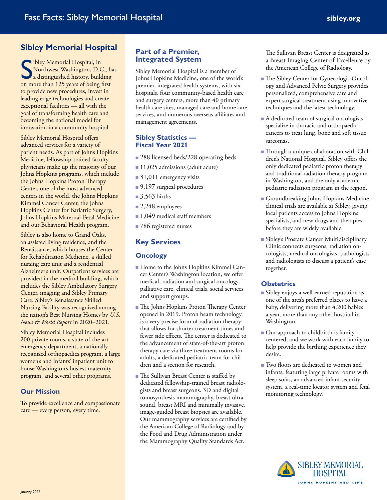# **Sibley Memorial Hospital**

Sibley Memorial Hospital, in<br>
Solomon Solomon<br>
Solomon Solomon<br>
Solomon Solomon<br>
Solomon Solomon<br>
Solomon Solomon<br>
Solomon Solomon<br>
Solomon Solomon<br>
Solomon Solomon<br>
Solomon Solomon<br>
Solomon Solomon<br>
Solomon Solomon<br>
Solom Northwest Washington, D.C., has a distinguished history, building on more than 125 years of being first to provide new procedures, invest in leading-edge technologies and create exceptional facilities — all with the goal of transforming health care and becoming the national model for innovation in a community hospital.

Sibley Memorial Hospital offers advanced services for a variety of patient needs. As part of Johns Hopkins Medicine, fellowship-trained faculty physicians make up the majority of our Johns Hopkins programs, which include the Johns Hopkins Proton Therapy Center, one of the most advanced centers in the world, the Johns Hopkins Kimmel Cancer Center, the Johns Hopkins Center for Bariatric Surgery, Johns Hopkins Maternal-Fetal Medicine and our Behavioral Health program.

Sibley is also home to Grand Oaks, an assisted living residence, and the Renaissance, which houses the Center for Rehabilitation Medicine, a skilled nursing care unit and a residential Alzheimer's unit. Outpatient services are provided in the medical building, which includes the Sibley Ambulatory Surgery Center, imaging and Sibley Primary Care. Sibley's Renaissance Skilled Nursing Facility was recognized among the nation's Best Nursing Homes by *U.S. News & World Report* in 2020–2021.

Sibley Memorial Hospital includes 200 private rooms, a state-of-the-art emergency department, a nationally recognized orthopaedics program, a large women's and infants' inpatient unit to house Washington's busiest maternity program, and several other programs.

#### **Our Mission**

To provide excellence and compassionate care — every person, every time.

### **Part of a Premier, Integrated System**

Sibley Memorial Hospital is a member of Johns Hopkins Medicine, one of the world's premier, integrated health systems, with six hospitals, four community-based health care and surgery centers, more than 40 primary health care sites, managed care and home care services, and numerous overseas affiliates and management agreements.

#### **Sibley Statistics — Fiscal Year 2021**

- 288 licensed beds/228 operating beds
- 11,025 admissions (adult acute)
- $\blacksquare$  31,011 emergency visits
- $\Box$  9,197 surgical procedures
- $\blacksquare$  3,563 births
- $\Box$  2,248 employees
- $\Box$  1,049 medical staff members
- 786 registered nurses

## **Key Services**

#### **Oncology**

- <sup>n</sup> Home to the Johns Hopkins Kimmel Cancer Center's Washington location, we offer medical, radiation and surgical oncology, palliative care, clinical trials, social services and support groups.
- The Johns Hopkins Proton Therapy Center opened in 2019. Proton beam technology is a very precise form of radiation therapy that allows for shorter treatment times and fewer side effects. The center is dedicated to the advancement of state-of-the-art proton therapy care via three treatment rooms for adults, a dedicated pediatric team for children and a section for research.
- The Sullivan Breast Center is staffed by dedicated fellowship-trained breast radiologists and breast surgeons. 3D and digital tomosynthesis mammography, breast ultrasound, breast MRI and minimally invasive, image-guided breast biopsies are available. Our mammography services are certified by the American College of Radiology and by the Food and Drug Administration under the Mammography Quality Standards Act.

The Sullivan Breast Center is designated as a Breast Imaging Center of Excellence by the American College of Radiology.

- <sup>n</sup> The Sibley Center for Gynecologic Oncology and Advanced Pelvic Surgery provides personalized, comprehensive care and expert surgical treatment using innovative techniques and the latest technology.
- A dedicated team of surgical oncologists specialize in thoracic and orthopaedic cancers to treat lung, bone and soft tissue sarcomas.
- Through a unique collaboration with Children's National Hospital, Sibley offers the only dedicated pediatric proton therapy and traditional radiation therapy program in Washington, and the only academic pediatric radiation program in the region.
- <sup>n</sup> Groundbreaking Johns Hopkins Medicine clinical trials are available at Sibley, giving local patients access to Johns Hopkins specialists, and new drugs and therapies before they are widely available.
- <sup>n</sup> Sibley's Prostate Cancer Multidisciplinary Clinic connects surgeons, radiation oncologists, medical oncologists, pathologists and radiologists to discuss a patient's case together.

#### **Obstetrics**

- Sibley enjoys a well-earned reputation as one of the area's preferred places to have a baby, delivering more than 4,200 babies a year, more than any other hospital in Washington.
- <sup>n</sup> Our approach to childbirth is familycentered, and we work with each family to help provide the birthing experience they desire.
- Two floors are dedicated to women and infants, featuring large private rooms with sleep sofas, an advanced infant security system, a real-time locator system and fetal monitoring technology.